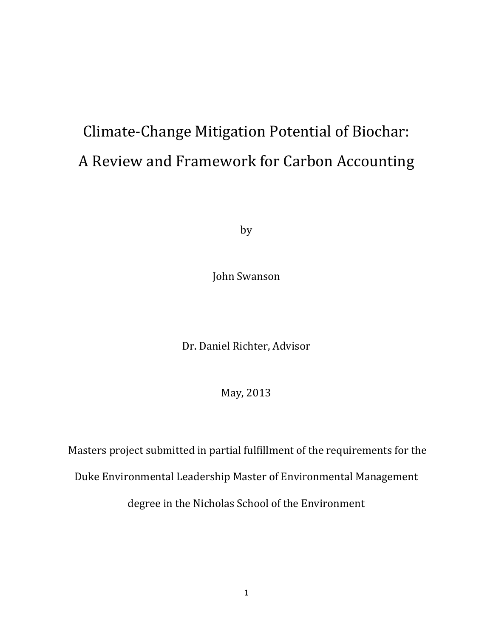# Climate-Change Mitigation Potential of Biochar: A Review and Framework for Carbon Accounting

by

John Swanson

Dr. Daniel Richter, Advisor

May, 2013

Masters project submitted in partial fulfillment of the requirements for the

Duke Environmental Leadership Master of Environmental Management

degree in the Nicholas School of the Environment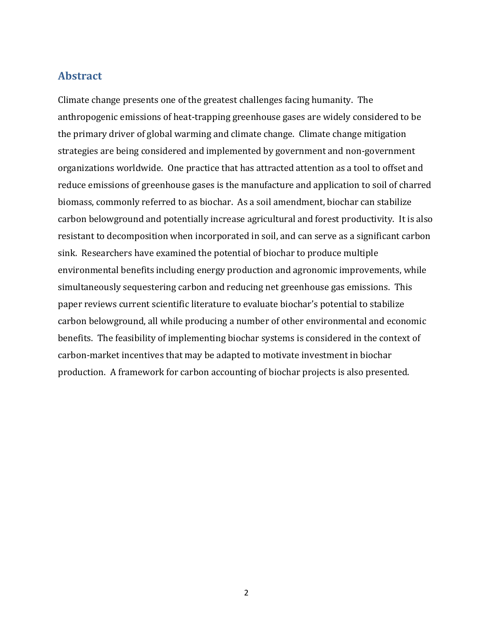## <span id="page-1-0"></span>**Abstract**

Climate change presents one of the greatest challenges facing humanity. The anthropogenic emissions of heat-trapping greenhouse gases are widely considered to be the primary driver of global warming and climate change. Climate change mitigation strategies are being considered and implemented by government and non-government organizations worldwide. One practice that has attracted attention as a tool to offset and reduce emissions of greenhouse gases is the manufacture and application to soil of charred biomass, commonly referred to as biochar. As a soil amendment, biochar can stabilize carbon belowground and potentially increase agricultural and forest productivity. It is also resistant to decomposition when incorporated in soil, and can serve as a significant carbon sink. Researchers have examined the potential of biochar to produce multiple environmental benefits including energy production and agronomic improvements, while simultaneously sequestering carbon and reducing net greenhouse gas emissions. This paper reviews current scientific literature to evaluate biochar's potential to stabilize carbon belowground, all while producing a number of other environmental and economic benefits. The feasibility of implementing biochar systems is considered in the context of carbon-market incentives that may be adapted to motivate investment in biochar production. A framework for carbon accounting of biochar projects is also presented.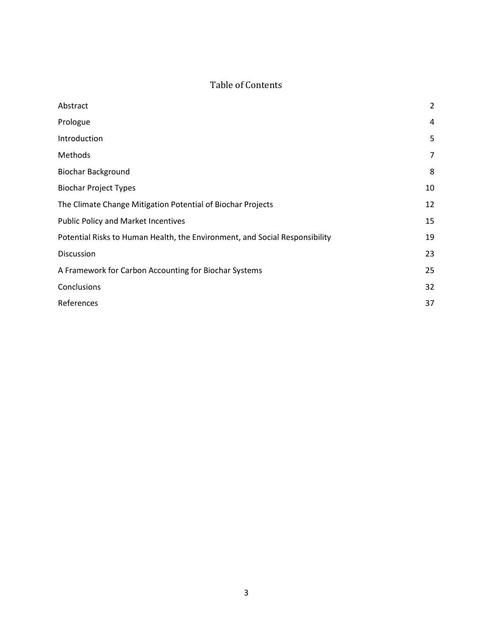## Table of Contents

| Abstract                                                                    | $\overline{2}$ |
|-----------------------------------------------------------------------------|----------------|
| Prologue                                                                    | $\overline{4}$ |
| Introduction                                                                | 5              |
| Methods                                                                     | 7              |
| <b>Biochar Background</b>                                                   | 8              |
| <b>Biochar Project Types</b>                                                | 10             |
| The Climate Change Mitigation Potential of Biochar Projects                 | 12             |
| Public Policy and Market Incentives                                         | 15             |
| Potential Risks to Human Health, the Environment, and Social Responsibility | 19             |
| Discussion                                                                  | 23             |
| A Framework for Carbon Accounting for Biochar Systems                       | 25             |
| Conclusions                                                                 | 32             |
| References                                                                  | 37             |
|                                                                             |                |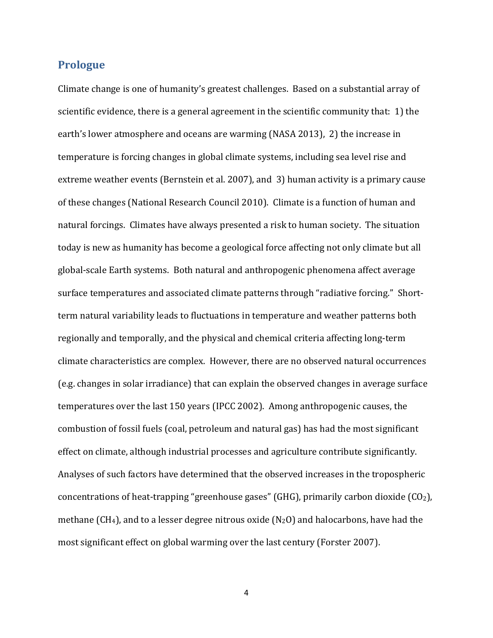#### <span id="page-3-0"></span>**Prologue**

Climate change is one of humanity's greatest challenges. Based on a substantial array of scientific evidence, there is a general agreement in the scientific community that: 1) the earth's lower atmosphere and oceans are warming (NASA 2013), 2) the increase in temperature is forcing changes in global climate systems, including sea level rise and extreme weather events (Bernstein et al. 2007), and 3) human activity is a primary cause of these changes (National Research Council 2010). Climate is a function of human and natural forcings. Climates have always presented a risk to human society. The situation today is new as humanity has become a geological force affecting not only climate but all global-scale Earth systems. Both natural and anthropogenic phenomena affect average surface temperatures and associated climate patterns through "radiative forcing." Shortterm natural variability leads to fluctuations in temperature and weather patterns both regionally and temporally, and the physical and chemical criteria affecting long-term climate characteristics are complex. However, there are no observed natural occurrences (e.g. changes in solar irradiance) that can explain the observed changes in average surface temperatures over the last 150 years (IPCC 2002). Among anthropogenic causes, the combustion of fossil fuels (coal, petroleum and natural gas) has had the most significant effect on climate, although industrial processes and agriculture contribute significantly. Analyses of such factors have determined that the observed increases in the tropospheric concentrations of heat-trapping "greenhouse gases" (GHG), primarily carbon dioxide  $(CO<sub>2</sub>)$ , methane (CH<sub>4</sub>), and to a lesser degree nitrous oxide (N<sub>2</sub>O) and halocarbons, have had the most significant effect on global warming over the last century (Forster 2007).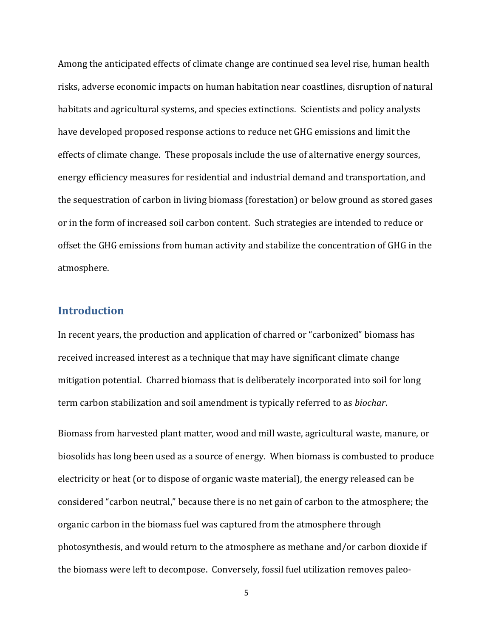Among the anticipated effects of climate change are continued sea level rise, human health risks, adverse economic impacts on human habitation near coastlines, disruption of natural habitats and agricultural systems, and species extinctions. Scientists and policy analysts have developed proposed response actions to reduce net GHG emissions and limit the effects of climate change. These proposals include the use of alternative energy sources, energy efficiency measures for residential and industrial demand and transportation, and the sequestration of carbon in living biomass (forestation) or below ground as stored gases or in the form of increased soil carbon content. Such strategies are intended to reduce or offset the GHG emissions from human activity and stabilize the concentration of GHG in the atmosphere.

## <span id="page-4-0"></span>**Introduction**

In recent years, the production and application of charred or "carbonized" biomass has received increased interest as a technique that may have significant climate change mitigation potential. Charred biomass that is deliberately incorporated into soil for long term carbon stabilization and soil amendment is typically referred to as *biochar*.

Biomass from harvested plant matter, wood and mill waste, agricultural waste, manure, or biosolids has long been used as a source of energy. When biomass is combusted to produce electricity or heat (or to dispose of organic waste material), the energy released can be considered "carbon neutral," because there is no net gain of carbon to the atmosphere; the organic carbon in the biomass fuel was captured from the atmosphere through photosynthesis, and would return to the atmosphere as methane and/or carbon dioxide if the biomass were left to decompose. Conversely, fossil fuel utilization removes paleo-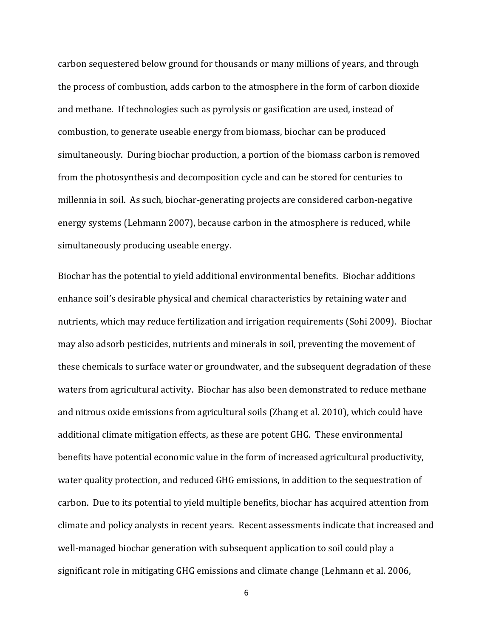carbon sequestered below ground for thousands or many millions of years, and through the process of combustion, adds carbon to the atmosphere in the form of carbon dioxide and methane. If technologies such as pyrolysis or gasification are used, instead of combustion, to generate useable energy from biomass, biochar can be produced simultaneously. During biochar production, a portion of the biomass carbon is removed from the photosynthesis and decomposition cycle and can be stored for centuries to millennia in soil. As such, biochar-generating projects are considered carbon-negative energy systems (Lehmann 2007), because carbon in the atmosphere is reduced, while simultaneously producing useable energy.

Biochar has the potential to yield additional environmental benefits. Biochar additions enhance soil's desirable physical and chemical characteristics by retaining water and nutrients, which may reduce fertilization and irrigation requirements (Sohi 2009). Biochar may also adsorb pesticides, nutrients and minerals in soil, preventing the movement of these chemicals to surface water or groundwater, and the subsequent degradation of these waters from agricultural activity. Biochar has also been demonstrated to reduce methane and nitrous oxide emissions from agricultural soils (Zhang et al. 2010), which could have additional climate mitigation effects, as these are potent GHG. These environmental benefits have potential economic value in the form of increased agricultural productivity, water quality protection, and reduced GHG emissions, in addition to the sequestration of carbon. Due to its potential to yield multiple benefits, biochar has acquired attention from climate and policy analysts in recent years. Recent assessments indicate that increased and well-managed biochar generation with subsequent application to soil could play a significant role in mitigating GHG emissions and climate change (Lehmann et al. 2006,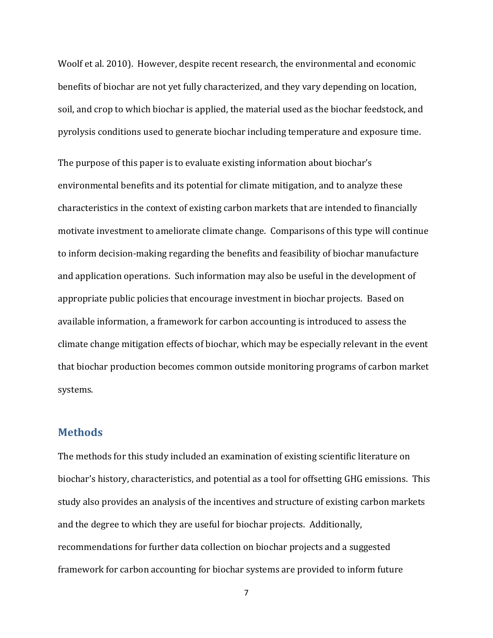Woolf et al. 2010). However, despite recent research, the environmental and economic benefits of biochar are not yet fully characterized, and they vary depending on location, soil, and crop to which biochar is applied, the material used as the biochar feedstock, and pyrolysis conditions used to generate biochar including temperature and exposure time.

The purpose of this paper is to evaluate existing information about biochar's environmental benefits and its potential for climate mitigation, and to analyze these characteristics in the context of existing carbon markets that are intended to financially motivate investment to ameliorate climate change. Comparisons of this type will continue to inform decision-making regarding the benefits and feasibility of biochar manufacture and application operations. Such information may also be useful in the development of appropriate public policies that encourage investment in biochar projects. Based on available information, a framework for carbon accounting is introduced to assess the climate change mitigation effects of biochar, which may be especially relevant in the event that biochar production becomes common outside monitoring programs of carbon market systems.

### <span id="page-6-0"></span>**Methods**

The methods for this study included an examination of existing scientific literature on biochar's history, characteristics, and potential as a tool for offsetting GHG emissions. This study also provides an analysis of the incentives and structure of existing carbon markets and the degree to which they are useful for biochar projects. Additionally, recommendations for further data collection on biochar projects and a suggested framework for carbon accounting for biochar systems are provided to inform future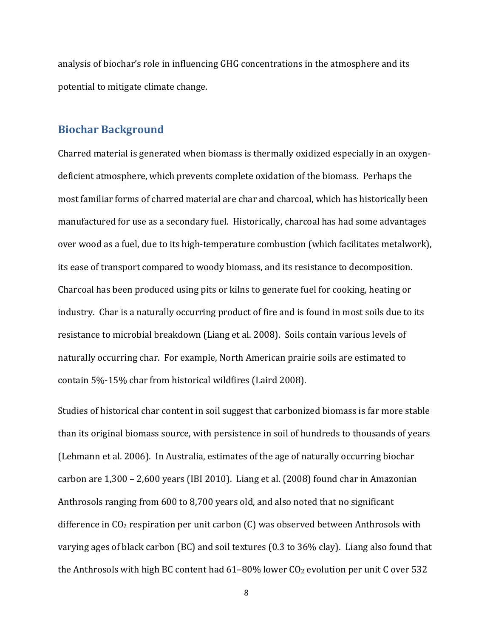analysis of biochar's role in influencing GHG concentrations in the atmosphere and its potential to mitigate climate change.

## <span id="page-7-0"></span>**Biochar Background**

Charred material is generated when biomass is thermally oxidized especially in an oxygendeficient atmosphere, which prevents complete oxidation of the biomass. Perhaps the most familiar forms of charred material are char and charcoal, which has historically been manufactured for use as a secondary fuel. Historically, charcoal has had some advantages over wood as a fuel, due to its high-temperature combustion (which facilitates metalwork), its ease of transport compared to woody biomass, and its resistance to decomposition. Charcoal has been produced using pits or kilns to generate fuel for cooking, heating or industry. Char is a naturally occurring product of fire and is found in most soils due to its resistance to microbial breakdown (Liang et al. 2008). Soils contain various levels of naturally occurring char. For example, North American prairie soils are estimated to contain 5%-15% char from historical wildfires (Laird 2008).

Studies of historical char content in soil suggest that carbonized biomass is far more stable than its original biomass source, with persistence in soil of hundreds to thousands of years (Lehmann et al. 2006). In Australia, estimates of the age of naturally occurring biochar carbon are 1,300 – 2,600 years (IBI 2010). Liang et al. (2008) found char in Amazonian Anthrosols ranging from 600 to 8,700 years old, and also noted that no significant difference in  $CO<sub>2</sub>$  respiration per unit carbon  $(C)$  was observed between Anthrosols with varying ages of black carbon (BC) and soil textures (0.3 to 36% clay). Liang also found that the Anthrosols with high BC content had  $61-80\%$  lower CO<sub>2</sub> evolution per unit C over 532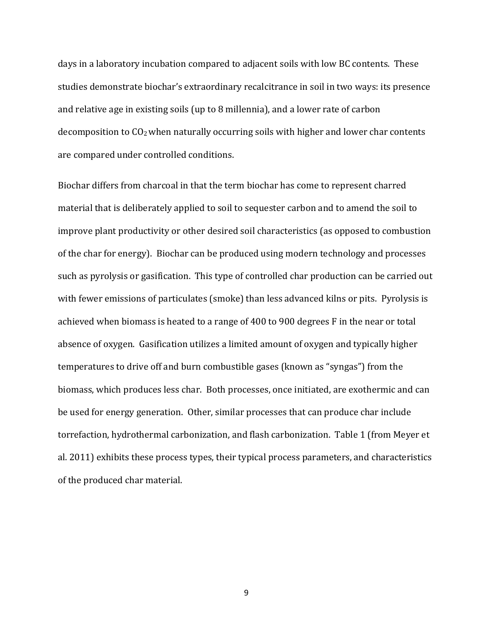days in a laboratory incubation compared to adjacent soils with low BC contents. These studies demonstrate biochar's extraordinary recalcitrance in soil in two ways: its presence and relative age in existing soils (up to 8 millennia), and a lower rate of carbon decomposition to  $CO<sub>2</sub>$  when naturally occurring soils with higher and lower char contents are compared under controlled conditions.

Biochar differs from charcoal in that the term biochar has come to represent charred material that is deliberately applied to soil to sequester carbon and to amend the soil to improve plant productivity or other desired soil characteristics (as opposed to combustion of the char for energy). Biochar can be produced using modern technology and processes such as pyrolysis or gasification. This type of controlled char production can be carried out with fewer emissions of particulates (smoke) than less advanced kilns or pits. Pyrolysis is achieved when biomass is heated to a range of 400 to 900 degrees F in the near or total absence of oxygen. Gasification utilizes a limited amount of oxygen and typically higher temperatures to drive off and burn combustible gases (known as "syngas") from the biomass, which produces less char. Both processes, once initiated, are exothermic and can be used for energy generation. Other, similar processes that can produce char include torrefaction, hydrothermal carbonization, and flash carbonization. Table 1 (from Meyer et al. 2011) exhibits these process types, their typical process parameters, and characteristics of the produced char material.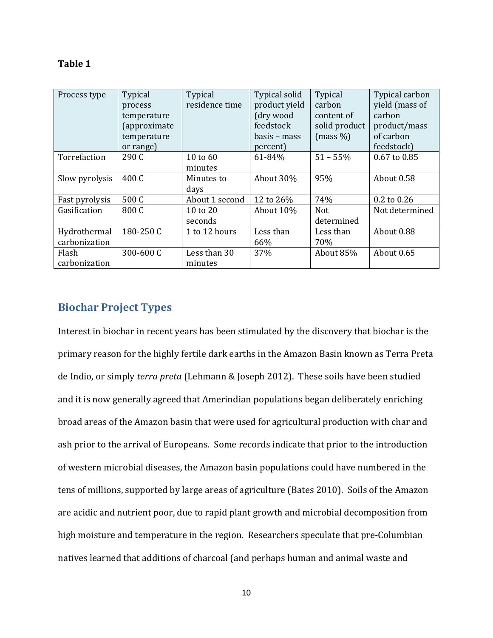| .n<br>I<br>π |  |
|--------------|--|
|--------------|--|

| Process type                  | Typical<br>process<br>temperature<br>(approximate<br>temperature<br>or range) | Typical<br>residence time | Typical solid<br>product yield<br>(dry wood<br>feedstock<br>basis – mass<br>percent) | Typical<br>carbon<br>content of<br>solid product<br>(mass %) | Typical carbon<br>yield (mass of<br>carbon<br>product/mass<br>of carbon<br>feedstock) |
|-------------------------------|-------------------------------------------------------------------------------|---------------------------|--------------------------------------------------------------------------------------|--------------------------------------------------------------|---------------------------------------------------------------------------------------|
| Torrefaction                  | 290 C                                                                         | 10 to $60$<br>minutes     | 61-84%                                                                               | $51 - 55%$                                                   | 0.67 to 0.85                                                                          |
| Slow pyrolysis                | 400 C                                                                         | Minutes to<br>days        | About 30%                                                                            | 95%                                                          | About 0.58                                                                            |
| Fast pyrolysis                | 500 C                                                                         | About 1 second            | 12 to 26%                                                                            | 74%                                                          | 0.2 to 0.26                                                                           |
| Gasification                  | 800 C                                                                         | 10 to 20<br>seconds       | About 10%                                                                            | <b>Not</b><br>determined                                     | Not determined                                                                        |
| Hydrothermal<br>carbonization | 180-250 C                                                                     | 1 to 12 hours             | Less than<br>66%                                                                     | Less than<br>70%                                             | About 0.88                                                                            |
| Flash<br>carbonization        | 300-600 C                                                                     | Less than 30<br>minutes   | 37%                                                                                  | About 85%                                                    | About 0.65                                                                            |

## <span id="page-9-0"></span>**Biochar Project Types**

Interest in biochar in recent years has been stimulated by the discovery that biochar is the primary reason for the highly fertile dark earths in the Amazon Basin known as Terra Preta de Indio, or simply *terra preta* (Lehmann & Joseph 2012). These soils have been studied and it is now generally agreed that Amerindian populations began deliberately enriching broad areas of the Amazon basin that were used for agricultural production with char and ash prior to the arrival of Europeans. Some records indicate that prior to the introduction of western microbial diseases, the Amazon basin populations could have numbered in the tens of millions, supported by large areas of agriculture (Bates 2010). Soils of the Amazon are acidic and nutrient poor, due to rapid plant growth and microbial decomposition from high moisture and temperature in the region. Researchers speculate that pre-Columbian natives learned that additions of charcoal (and perhaps human and animal waste and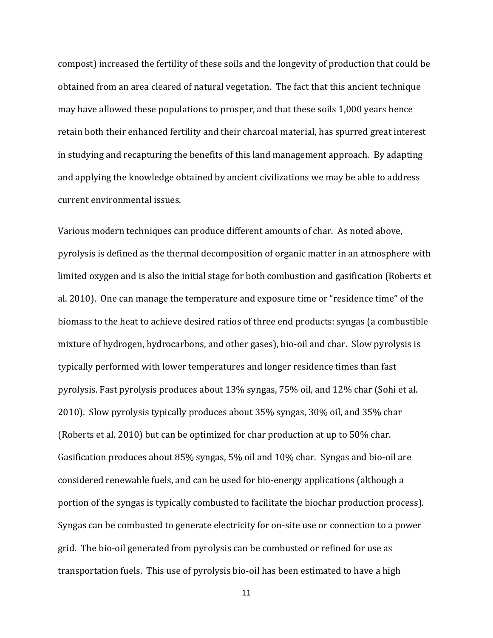compost) increased the fertility of these soils and the longevity of production that could be obtained from an area cleared of natural vegetation. The fact that this ancient technique may have allowed these populations to prosper, and that these soils 1,000 years hence retain both their enhanced fertility and their charcoal material, has spurred great interest in studying and recapturing the benefits of this land management approach. By adapting and applying the knowledge obtained by ancient civilizations we may be able to address current environmental issues.

Various modern techniques can produce different amounts of char. As noted above, pyrolysis is defined as the thermal decomposition of organic matter in an atmosphere with limited oxygen and is also the initial stage for both combustion and gasification (Roberts et al. 2010). One can manage the temperature and exposure time or "residence time" of the biomass to the heat to achieve desired ratios of three end products: syngas (a combustible mixture of hydrogen, hydrocarbons, and other gases), bio-oil and char. Slow pyrolysis is typically performed with lower temperatures and longer residence times than fast pyrolysis. Fast pyrolysis produces about 13% syngas, 75% oil, and 12% char (Sohi et al. 2010). Slow pyrolysis typically produces about 35% syngas, 30% oil, and 35% char (Roberts et al. 2010) but can be optimized for char production at up to 50% char. Gasification produces about 85% syngas, 5% oil and 10% char. Syngas and bio-oil are considered renewable fuels, and can be used for bio-energy applications (although a portion of the syngas is typically combusted to facilitate the biochar production process). Syngas can be combusted to generate electricity for on-site use or connection to a power grid. The bio-oil generated from pyrolysis can be combusted or refined for use as transportation fuels. This use of pyrolysis bio-oil has been estimated to have a high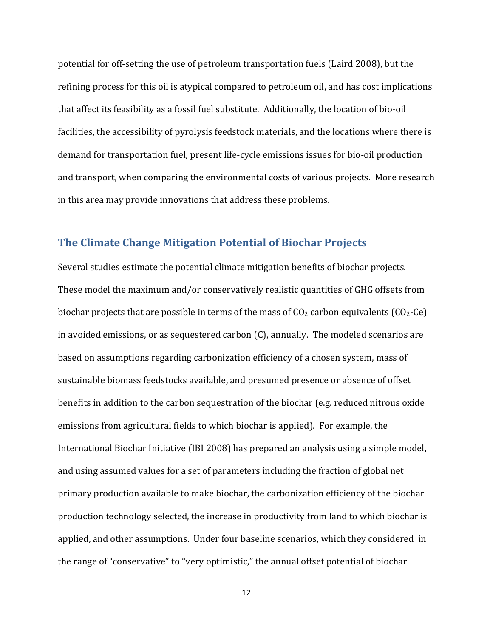potential for off-setting the use of petroleum transportation fuels (Laird 2008), but the refining process for this oil is atypical compared to petroleum oil, and has cost implications that affect its feasibility as a fossil fuel substitute. Additionally, the location of bio-oil facilities, the accessibility of pyrolysis feedstock materials, and the locations where there is demand for transportation fuel, present life-cycle emissions issues for bio-oil production and transport, when comparing the environmental costs of various projects. More research in this area may provide innovations that address these problems.

### <span id="page-11-0"></span>**The Climate Change Mitigation Potential of Biochar Projects**

Several studies estimate the potential climate mitigation benefits of biochar projects. These model the maximum and/or conservatively realistic quantities of GHG offsets from biochar projects that are possible in terms of the mass of  $CO<sub>2</sub>$  carbon equivalents ( $CO<sub>2</sub>$ -Ce) in avoided emissions, or as sequestered carbon (C), annually. The modeled scenarios are based on assumptions regarding carbonization efficiency of a chosen system, mass of sustainable biomass feedstocks available, and presumed presence or absence of offset benefits in addition to the carbon sequestration of the biochar (e.g. reduced nitrous oxide emissions from agricultural fields to which biochar is applied). For example, the International Biochar Initiative (IBI 2008) has prepared an analysis using a simple model, and using assumed values for a set of parameters including the fraction of global net primary production available to make biochar, the carbonization efficiency of the biochar production technology selected, the increase in productivity from land to which biochar is applied, and other assumptions. Under four baseline scenarios, which they considered in the range of "conservative" to "very optimistic," the annual offset potential of biochar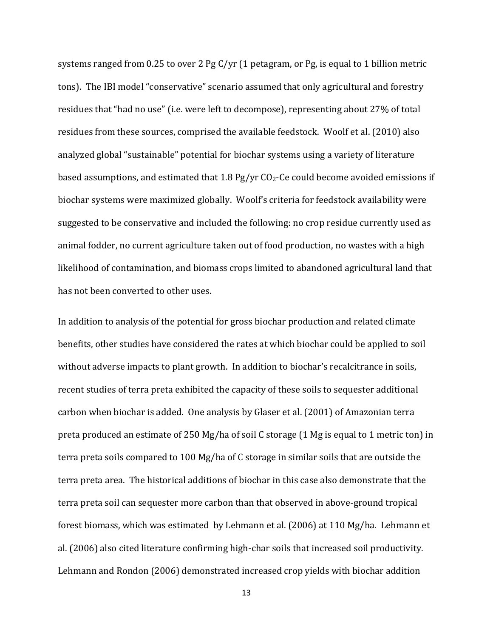systems ranged from 0.25 to over 2 Pg C/yr (1 petagram, or Pg, is equal to 1 billion metric tons). The IBI model "conservative" scenario assumed that only agricultural and forestry residues that "had no use" (i.e. were left to decompose), representing about 27% of total residues from these sources, comprised the available feedstock. Woolf et al. (2010) also analyzed global "sustainable" potential for biochar systems using a variety of literature based assumptions, and estimated that 1.8 Pg/yr  $CO<sub>2</sub>$ -Ce could become avoided emissions if biochar systems were maximized globally. Woolf's criteria for feedstock availability were suggested to be conservative and included the following: no crop residue currently used as animal fodder, no current agriculture taken out of food production, no wastes with a high likelihood of contamination, and biomass crops limited to abandoned agricultural land that has not been converted to other uses.

In addition to analysis of the potential for gross biochar production and related climate benefits, other studies have considered the rates at which biochar could be applied to soil without adverse impacts to plant growth. In addition to biochar's recalcitrance in soils, recent studies of terra preta exhibited the capacity of these soils to sequester additional carbon when biochar is added. One analysis by Glaser et al. (2001) of Amazonian terra preta produced an estimate of 250 Mg/ha of soil C storage (1 Mg is equal to 1 metric ton) in terra preta soils compared to 100 Mg/ha of C storage in similar soils that are outside the terra preta area. The historical additions of biochar in this case also demonstrate that the terra preta soil can sequester more carbon than that observed in above-ground tropical forest biomass, which was estimated by Lehmann et al. (2006) at 110 Mg/ha. Lehmann et al. (2006) also cited literature confirming high-char soils that increased soil productivity. Lehmann and Rondon (2006) demonstrated increased crop yields with biochar addition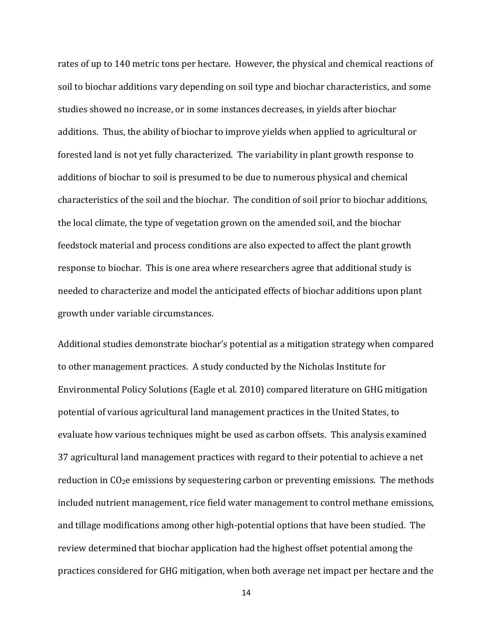rates of up to 140 metric tons per hectare. However, the physical and chemical reactions of soil to biochar additions vary depending on soil type and biochar characteristics, and some studies showed no increase, or in some instances decreases, in yields after biochar additions. Thus, the ability of biochar to improve yields when applied to agricultural or forested land is not yet fully characterized. The variability in plant growth response to additions of biochar to soil is presumed to be due to numerous physical and chemical characteristics of the soil and the biochar. The condition of soil prior to biochar additions, the local climate, the type of vegetation grown on the amended soil, and the biochar feedstock material and process conditions are also expected to affect the plant growth response to biochar. This is one area where researchers agree that additional study is needed to characterize and model the anticipated effects of biochar additions upon plant growth under variable circumstances.

Additional studies demonstrate biochar's potential as a mitigation strategy when compared to other management practices. A study conducted by the Nicholas Institute for Environmental Policy Solutions (Eagle et al. 2010) compared literature on GHG mitigation potential of various agricultural land management practices in the United States, to evaluate how various techniques might be used as carbon offsets. This analysis examined 37 agricultural land management practices with regard to their potential to achieve a net reduction in  $CO<sub>2</sub>e$  emissions by sequestering carbon or preventing emissions. The methods included nutrient management, rice field water management to control methane emissions, and tillage modifications among other high-potential options that have been studied. The review determined that biochar application had the highest offset potential among the practices considered for GHG mitigation, when both average net impact per hectare and the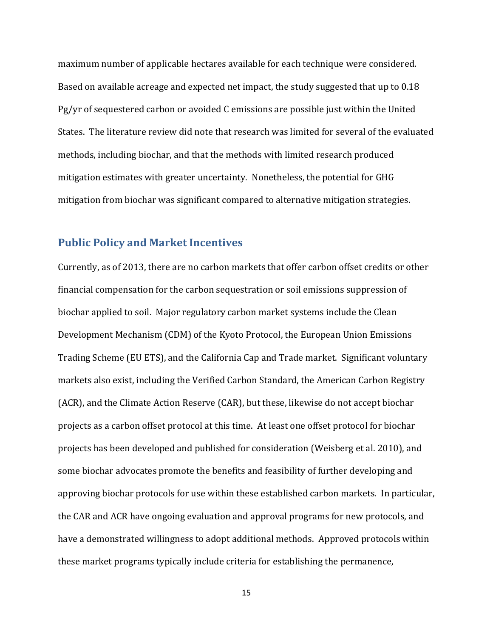maximum number of applicable hectares available for each technique were considered. Based on available acreage and expected net impact, the study suggested that up to 0.18 Pg/yr of sequestered carbon or avoided C emissions are possible just within the United States. The literature review did note that research was limited for several of the evaluated methods, including biochar, and that the methods with limited research produced mitigation estimates with greater uncertainty. Nonetheless, the potential for GHG mitigation from biochar was significant compared to alternative mitigation strategies.

### <span id="page-14-0"></span>**Public Policy and Market Incentives**

Currently, as of 2013, there are no carbon markets that offer carbon offset credits or other financial compensation for the carbon sequestration or soil emissions suppression of biochar applied to soil. Major regulatory carbon market systems include the Clean Development Mechanism (CDM) of the Kyoto Protocol, the European Union Emissions Trading Scheme (EU ETS), and the California Cap and Trade market. Significant voluntary markets also exist, including the Verified Carbon Standard, the American Carbon Registry (ACR), and the Climate Action Reserve (CAR), but these, likewise do not accept biochar projects as a carbon offset protocol at this time. At least one offset protocol for biochar projects has been developed and published for consideration (Weisberg et al. 2010), and some biochar advocates promote the benefits and feasibility of further developing and approving biochar protocols for use within these established carbon markets. In particular, the CAR and ACR have ongoing evaluation and approval programs for new protocols, and have a demonstrated willingness to adopt additional methods. Approved protocols within these market programs typically include criteria for establishing the permanence,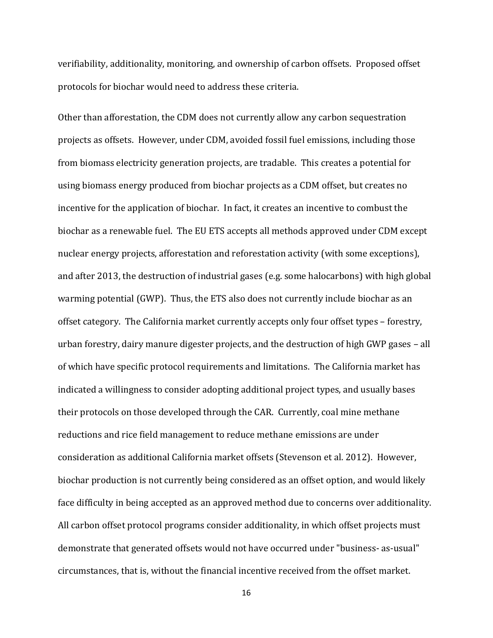verifiability, additionality, monitoring, and ownership of carbon offsets. Proposed offset protocols for biochar would need to address these criteria.

Other than afforestation, the CDM does not currently allow any carbon sequestration projects as offsets. However, under CDM, avoided fossil fuel emissions, including those from biomass electricity generation projects, are tradable. This creates a potential for using biomass energy produced from biochar projects as a CDM offset, but creates no incentive for the application of biochar. In fact, it creates an incentive to combust the biochar as a renewable fuel. The EU ETS accepts all methods approved under CDM except nuclear energy projects, afforestation and reforestation activity (with some exceptions), and after 2013, the destruction of industrial gases (e.g. some halocarbons) with high global warming potential (GWP). Thus, the ETS also does not currently include biochar as an offset category. The California market currently accepts only four offset types – forestry, urban forestry, dairy manure digester projects, and the destruction of high GWP gases – all of which have specific protocol requirements and limitations. The California market has indicated a willingness to consider adopting additional project types, and usually bases their protocols on those developed through the CAR. Currently, coal mine methane reductions and rice field management to reduce methane emissions are under consideration as additional California market offsets (Stevenson et al. 2012). However, biochar production is not currently being considered as an offset option, and would likely face difficulty in being accepted as an approved method due to concerns over additionality. All carbon offset protocol programs consider additionality, in which offset projects must demonstrate that generated offsets would not have occurred under "business- as-usual" circumstances, that is, without the financial incentive received from the offset market.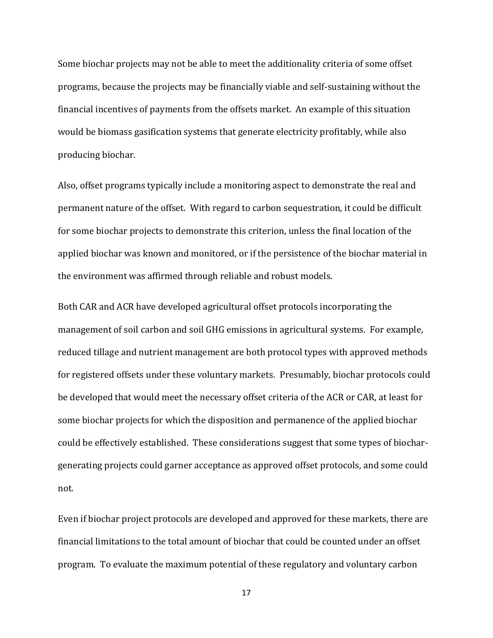Some biochar projects may not be able to meet the additionality criteria of some offset programs, because the projects may be financially viable and self-sustaining without the financial incentives of payments from the offsets market. An example of this situation would be biomass gasification systems that generate electricity profitably, while also producing biochar.

Also, offset programs typically include a monitoring aspect to demonstrate the real and permanent nature of the offset. With regard to carbon sequestration, it could be difficult for some biochar projects to demonstrate this criterion, unless the final location of the applied biochar was known and monitored, or if the persistence of the biochar material in the environment was affirmed through reliable and robust models.

Both CAR and ACR have developed agricultural offset protocols incorporating the management of soil carbon and soil GHG emissions in agricultural systems. For example, reduced tillage and nutrient management are both protocol types with approved methods for registered offsets under these voluntary markets. Presumably, biochar protocols could be developed that would meet the necessary offset criteria of the ACR or CAR, at least for some biochar projects for which the disposition and permanence of the applied biochar could be effectively established. These considerations suggest that some types of biochargenerating projects could garner acceptance as approved offset protocols, and some could not.

Even if biochar project protocols are developed and approved for these markets, there are financial limitations to the total amount of biochar that could be counted under an offset program. To evaluate the maximum potential of these regulatory and voluntary carbon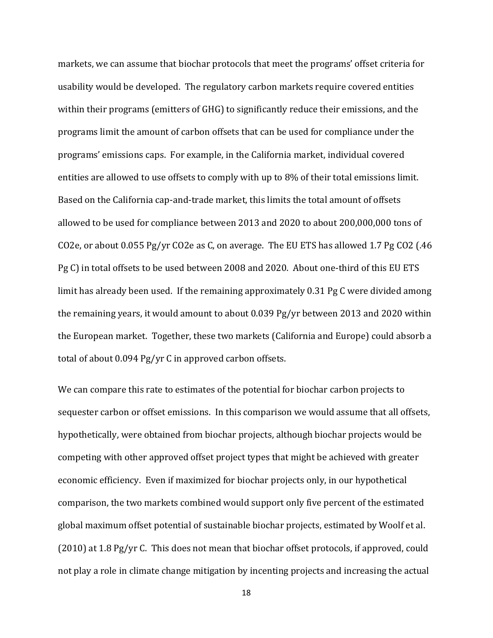markets, we can assume that biochar protocols that meet the programs' offset criteria for usability would be developed. The regulatory carbon markets require covered entities within their programs (emitters of GHG) to significantly reduce their emissions, and the programs limit the amount of carbon offsets that can be used for compliance under the programs' emissions caps. For example, in the California market, individual covered entities are allowed to use offsets to comply with up to 8% of their total emissions limit. Based on the California cap-and-trade market, this limits the total amount of offsets allowed to be used for compliance between 2013 and 2020 to about 200,000,000 tons of CO2e, or about 0.055 Pg/yr CO2e as C, on average. The EU ETS has allowed 1.7 Pg CO2 (.46 Pg C) in total offsets to be used between 2008 and 2020. About one-third of this EU ETS limit has already been used. If the remaining approximately 0.31 Pg C were divided among the remaining years, it would amount to about 0.039 Pg/yr between 2013 and 2020 within the European market. Together, these two markets (California and Europe) could absorb a total of about 0.094 Pg/yr C in approved carbon offsets.

We can compare this rate to estimates of the potential for biochar carbon projects to sequester carbon or offset emissions. In this comparison we would assume that all offsets, hypothetically, were obtained from biochar projects, although biochar projects would be competing with other approved offset project types that might be achieved with greater economic efficiency. Even if maximized for biochar projects only, in our hypothetical comparison, the two markets combined would support only five percent of the estimated global maximum offset potential of sustainable biochar projects, estimated by Woolf et al. (2010) at 1.8 Pg/yr C. This does not mean that biochar offset protocols, if approved, could not play a role in climate change mitigation by incenting projects and increasing the actual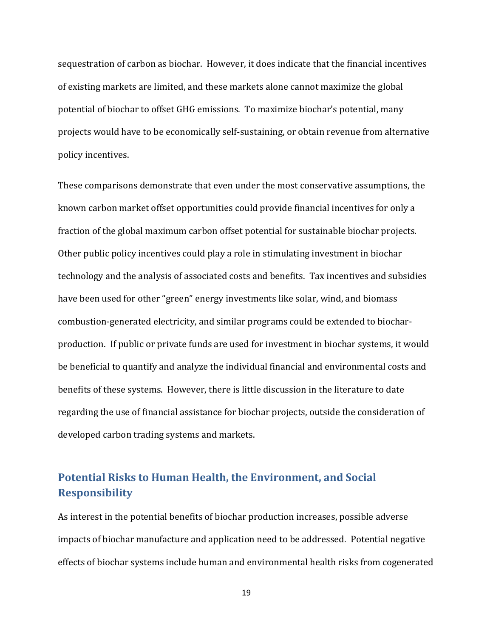sequestration of carbon as biochar. However, it does indicate that the financial incentives of existing markets are limited, and these markets alone cannot maximize the global potential of biochar to offset GHG emissions. To maximize biochar's potential, many projects would have to be economically self-sustaining, or obtain revenue from alternative policy incentives.

These comparisons demonstrate that even under the most conservative assumptions, the known carbon market offset opportunities could provide financial incentives for only a fraction of the global maximum carbon offset potential for sustainable biochar projects. Other public policy incentives could play a role in stimulating investment in biochar technology and the analysis of associated costs and benefits. Tax incentives and subsidies have been used for other "green" energy investments like solar, wind, and biomass combustion-generated electricity, and similar programs could be extended to biocharproduction. If public or private funds are used for investment in biochar systems, it would be beneficial to quantify and analyze the individual financial and environmental costs and benefits of these systems. However, there is little discussion in the literature to date regarding the use of financial assistance for biochar projects, outside the consideration of developed carbon trading systems and markets.

## <span id="page-18-0"></span>**Potential Risks to Human Health, the Environment, and Social Responsibility**

As interest in the potential benefits of biochar production increases, possible adverse impacts of biochar manufacture and application need to be addressed. Potential negative effects of biochar systems include human and environmental health risks from cogenerated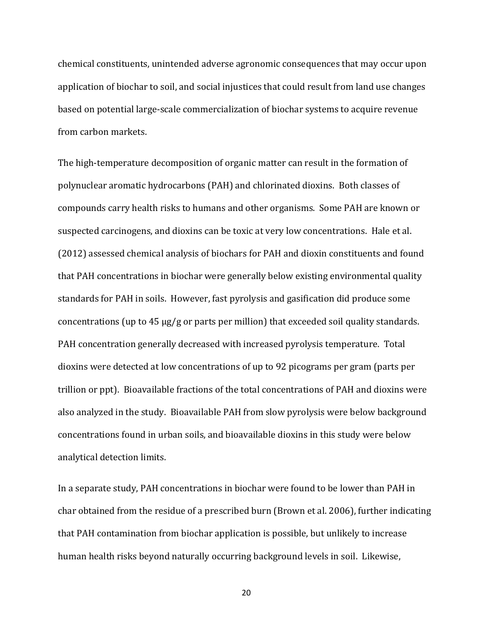chemical constituents, unintended adverse agronomic consequences that may occur upon application of biochar to soil, and social injustices that could result from land use changes based on potential large-scale commercialization of biochar systems to acquire revenue from carbon markets.

The high-temperature decomposition of organic matter can result in the formation of polynuclear aromatic hydrocarbons (PAH) and chlorinated dioxins. Both classes of compounds carry health risks to humans and other organisms. Some PAH are known or suspected carcinogens, and dioxins can be toxic at very low concentrations. Hale et al. (2012) assessed chemical analysis of biochars for PAH and dioxin constituents and found that PAH concentrations in biochar were generally below existing environmental quality standards for PAH in soils. However, fast pyrolysis and gasification did produce some concentrations (up to 45 µg/g or parts per million) that exceeded soil quality standards. PAH concentration generally decreased with increased pyrolysis temperature. Total dioxins were detected at low concentrations of up to 92 picograms per gram (parts per trillion or ppt). Bioavailable fractions of the total concentrations of PAH and dioxins were also analyzed in the study. Bioavailable PAH from slow pyrolysis were below background concentrations found in urban soils, and bioavailable dioxins in this study were below analytical detection limits.

In a separate study, PAH concentrations in biochar were found to be lower than PAH in char obtained from the residue of a prescribed burn (Brown et al. 2006), further indicating that PAH contamination from biochar application is possible, but unlikely to increase human health risks beyond naturally occurring background levels in soil. Likewise,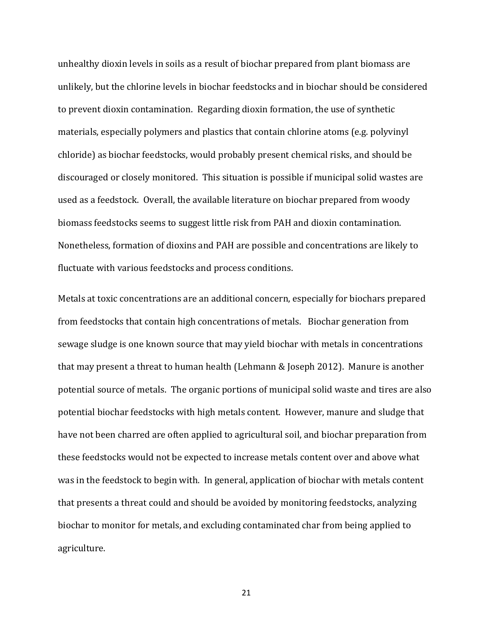unhealthy dioxin levels in soils as a result of biochar prepared from plant biomass are unlikely, but the chlorine levels in biochar feedstocks and in biochar should be considered to prevent dioxin contamination. Regarding dioxin formation, the use of synthetic materials, especially polymers and plastics that contain chlorine atoms (e.g. polyvinyl chloride) as biochar feedstocks, would probably present chemical risks, and should be discouraged or closely monitored. This situation is possible if municipal solid wastes are used as a feedstock. Overall, the available literature on biochar prepared from woody biomass feedstocks seems to suggest little risk from PAH and dioxin contamination. Nonetheless, formation of dioxins and PAH are possible and concentrations are likely to fluctuate with various feedstocks and process conditions.

Metals at toxic concentrations are an additional concern, especially for biochars prepared from feedstocks that contain high concentrations of metals. Biochar generation from sewage sludge is one known source that may yield biochar with metals in concentrations that may present a threat to human health (Lehmann & Joseph 2012). Manure is another potential source of metals. The organic portions of municipal solid waste and tires are also potential biochar feedstocks with high metals content. However, manure and sludge that have not been charred are often applied to agricultural soil, and biochar preparation from these feedstocks would not be expected to increase metals content over and above what was in the feedstock to begin with. In general, application of biochar with metals content that presents a threat could and should be avoided by monitoring feedstocks, analyzing biochar to monitor for metals, and excluding contaminated char from being applied to agriculture.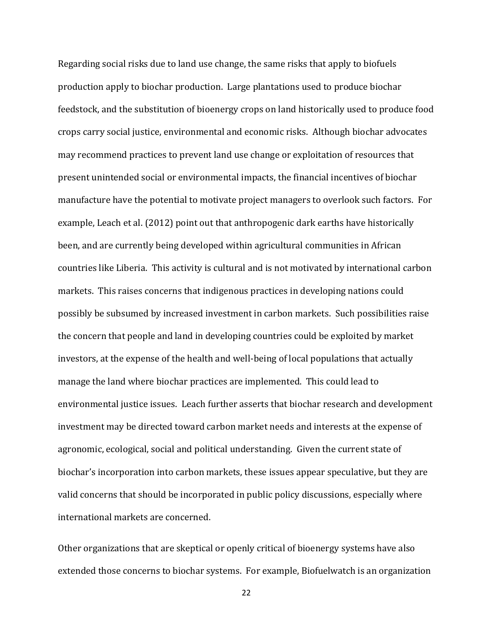Regarding social risks due to land use change, the same risks that apply to biofuels production apply to biochar production. Large plantations used to produce biochar feedstock, and the substitution of bioenergy crops on land historically used to produce food crops carry social justice, environmental and economic risks. Although biochar advocates may recommend practices to prevent land use change or exploitation of resources that present unintended social or environmental impacts, the financial incentives of biochar manufacture have the potential to motivate project managers to overlook such factors. For example, Leach et al. (2012) point out that anthropogenic dark earths have historically been, and are currently being developed within agricultural communities in African countries like Liberia. This activity is cultural and is not motivated by international carbon markets. This raises concerns that indigenous practices in developing nations could possibly be subsumed by increased investment in carbon markets. Such possibilities raise the concern that people and land in developing countries could be exploited by market investors, at the expense of the health and well-being of local populations that actually manage the land where biochar practices are implemented. This could lead to environmental justice issues. Leach further asserts that biochar research and development investment may be directed toward carbon market needs and interests at the expense of agronomic, ecological, social and political understanding. Given the current state of biochar's incorporation into carbon markets, these issues appear speculative, but they are valid concerns that should be incorporated in public policy discussions, especially where international markets are concerned.

Other organizations that are skeptical or openly critical of bioenergy systems have also extended those concerns to biochar systems. For example, Biofuelwatch is an organization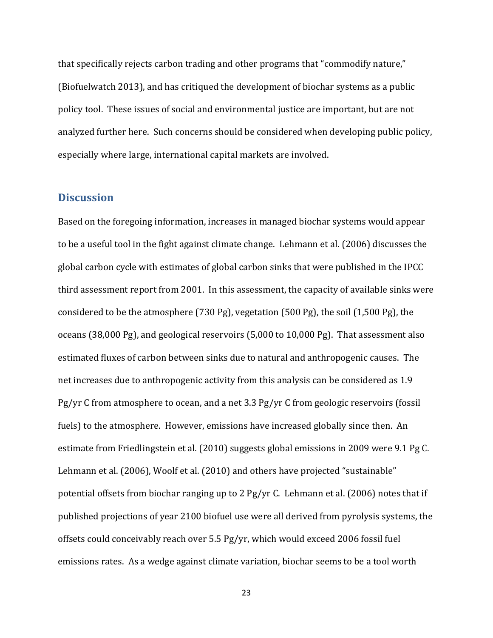that specifically rejects carbon trading and other programs that "commodify nature," (Biofuelwatch 2013), and has critiqued the development of biochar systems as a public policy tool. These issues of social and environmental justice are important, but are not analyzed further here. Such concerns should be considered when developing public policy, especially where large, international capital markets are involved.

## <span id="page-22-0"></span>**Discussion**

Based on the foregoing information, increases in managed biochar systems would appear to be a useful tool in the fight against climate change. Lehmann et al. (2006) discusses the global carbon cycle with estimates of global carbon sinks that were published in the IPCC third assessment report from 2001. In this assessment, the capacity of available sinks were considered to be the atmosphere (730 Pg), vegetation (500 Pg), the soil (1,500 Pg), the oceans (38,000 Pg), and geological reservoirs (5,000 to 10,000 Pg). That assessment also estimated fluxes of carbon between sinks due to natural and anthropogenic causes. The net increases due to anthropogenic activity from this analysis can be considered as 1.9 Pg/yr C from atmosphere to ocean, and a net 3.3 Pg/yr C from geologic reservoirs (fossil fuels) to the atmosphere. However, emissions have increased globally since then. An estimate from Friedlingstein et al. (2010) suggests global emissions in 2009 were 9.1 Pg C. Lehmann et al. (2006), Woolf et al. (2010) and others have projected "sustainable" potential offsets from biochar ranging up to 2 Pg/yr C. Lehmann et al. (2006) notes that if published projections of year 2100 biofuel use were all derived from pyrolysis systems, the offsets could conceivably reach over 5.5 Pg/yr, which would exceed 2006 fossil fuel emissions rates. As a wedge against climate variation, biochar seems to be a tool worth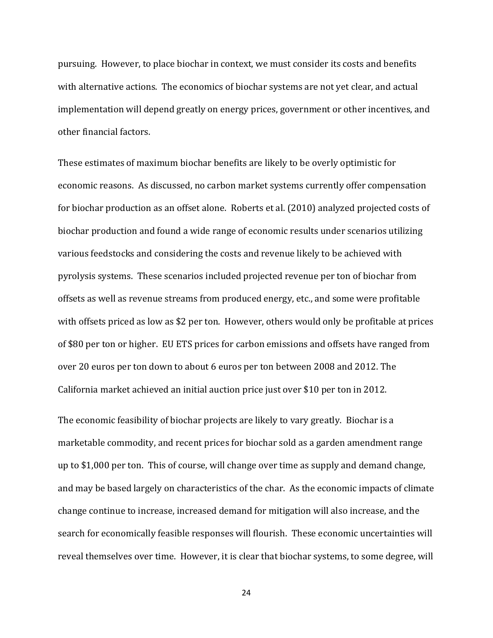pursuing. However, to place biochar in context, we must consider its costs and benefits with alternative actions. The economics of biochar systems are not yet clear, and actual implementation will depend greatly on energy prices, government or other incentives, and other financial factors.

These estimates of maximum biochar benefits are likely to be overly optimistic for economic reasons. As discussed, no carbon market systems currently offer compensation for biochar production as an offset alone. Roberts et al. (2010) analyzed projected costs of biochar production and found a wide range of economic results under scenarios utilizing various feedstocks and considering the costs and revenue likely to be achieved with pyrolysis systems. These scenarios included projected revenue per ton of biochar from offsets as well as revenue streams from produced energy, etc., and some were profitable with offsets priced as low as \$2 per ton. However, others would only be profitable at prices of \$80 per ton or higher. EU ETS prices for carbon emissions and offsets have ranged from over 20 euros per ton down to about 6 euros per ton between 2008 and 2012. The California market achieved an initial auction price just over \$10 per ton in 2012.

The economic feasibility of biochar projects are likely to vary greatly. Biochar is a marketable commodity, and recent prices for biochar sold as a garden amendment range up to \$1,000 per ton. This of course, will change over time as supply and demand change, and may be based largely on characteristics of the char. As the economic impacts of climate change continue to increase, increased demand for mitigation will also increase, and the search for economically feasible responses will flourish. These economic uncertainties will reveal themselves over time. However, it is clear that biochar systems, to some degree, will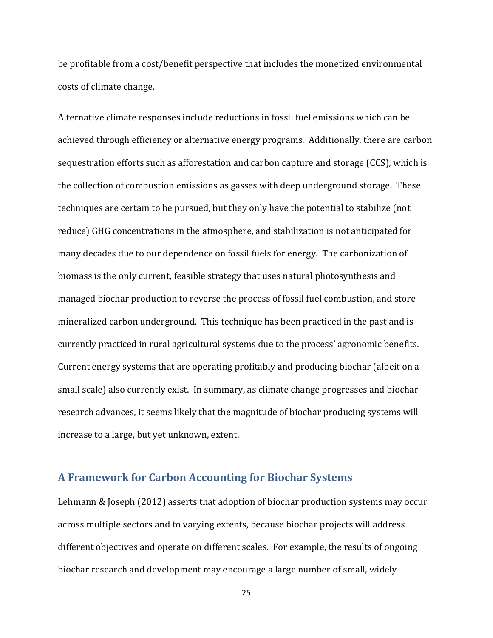be profitable from a cost/benefit perspective that includes the monetized environmental costs of climate change.

Alternative climate responses include reductions in fossil fuel emissions which can be achieved through efficiency or alternative energy programs. Additionally, there are carbon sequestration efforts such as afforestation and carbon capture and storage (CCS), which is the collection of combustion emissions as gasses with deep underground storage. These techniques are certain to be pursued, but they only have the potential to stabilize (not reduce) GHG concentrations in the atmosphere, and stabilization is not anticipated for many decades due to our dependence on fossil fuels for energy. The carbonization of biomass is the only current, feasible strategy that uses natural photosynthesis and managed biochar production to reverse the process of fossil fuel combustion, and store mineralized carbon underground. This technique has been practiced in the past and is currently practiced in rural agricultural systems due to the process' agronomic benefits. Current energy systems that are operating profitably and producing biochar (albeit on a small scale) also currently exist. In summary, as climate change progresses and biochar research advances, it seems likely that the magnitude of biochar producing systems will increase to a large, but yet unknown, extent.

## <span id="page-24-0"></span>**A Framework for Carbon Accounting for Biochar Systems**

Lehmann & Joseph (2012) asserts that adoption of biochar production systems may occur across multiple sectors and to varying extents, because biochar projects will address different objectives and operate on different scales. For example, the results of ongoing biochar research and development may encourage a large number of small, widely-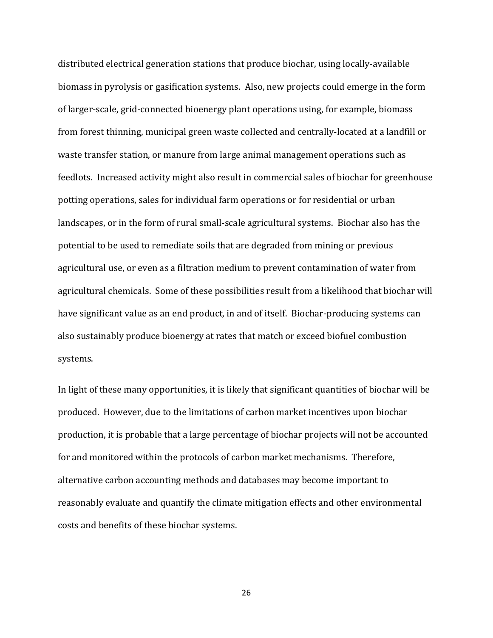distributed electrical generation stations that produce biochar, using locally-available biomass in pyrolysis or gasification systems. Also, new projects could emerge in the form of larger-scale, grid-connected bioenergy plant operations using, for example, biomass from forest thinning, municipal green waste collected and centrally-located at a landfill or waste transfer station, or manure from large animal management operations such as feedlots. Increased activity might also result in commercial sales of biochar for greenhouse potting operations, sales for individual farm operations or for residential or urban landscapes, or in the form of rural small-scale agricultural systems. Biochar also has the potential to be used to remediate soils that are degraded from mining or previous agricultural use, or even as a filtration medium to prevent contamination of water from agricultural chemicals. Some of these possibilities result from a likelihood that biochar will have significant value as an end product, in and of itself. Biochar-producing systems can also sustainably produce bioenergy at rates that match or exceed biofuel combustion systems.

In light of these many opportunities, it is likely that significant quantities of biochar will be produced. However, due to the limitations of carbon market incentives upon biochar production, it is probable that a large percentage of biochar projects will not be accounted for and monitored within the protocols of carbon market mechanisms. Therefore, alternative carbon accounting methods and databases may become important to reasonably evaluate and quantify the climate mitigation effects and other environmental costs and benefits of these biochar systems.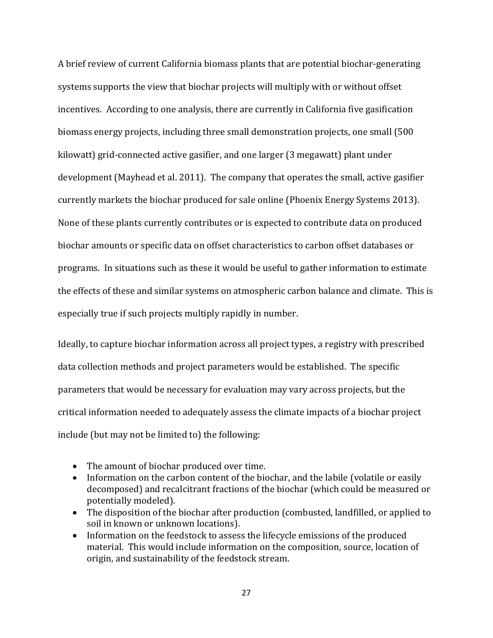A brief review of current California biomass plants that are potential biochar-generating systems supports the view that biochar projects will multiply with or without offset incentives. According to one analysis, there are currently in California five gasification biomass energy projects, including three small demonstration projects, one small (500 kilowatt) grid-connected active gasifier, and one larger (3 megawatt) plant under development (Mayhead et al. 2011). The company that operates the small, active gasifier currently markets the biochar produced for sale online (Phoenix Energy Systems 2013). None of these plants currently contributes or is expected to contribute data on produced biochar amounts or specific data on offset characteristics to carbon offset databases or programs. In situations such as these it would be useful to gather information to estimate the effects of these and similar systems on atmospheric carbon balance and climate. This is especially true if such projects multiply rapidly in number.

Ideally, to capture biochar information across all project types, a registry with prescribed data collection methods and project parameters would be established. The specific parameters that would be necessary for evaluation may vary across projects, but the critical information needed to adequately assess the climate impacts of a biochar project include (but may not be limited to) the following:

- The amount of biochar produced over time.
- Information on the carbon content of the biochar, and the labile (volatile or easily decomposed) and recalcitrant fractions of the biochar (which could be measured or potentially modeled).
- The disposition of the biochar after production (combusted, landfilled, or applied to soil in known or unknown locations).
- Information on the feedstock to assess the lifecycle emissions of the produced material. This would include information on the composition, source, location of origin, and sustainability of the feedstock stream.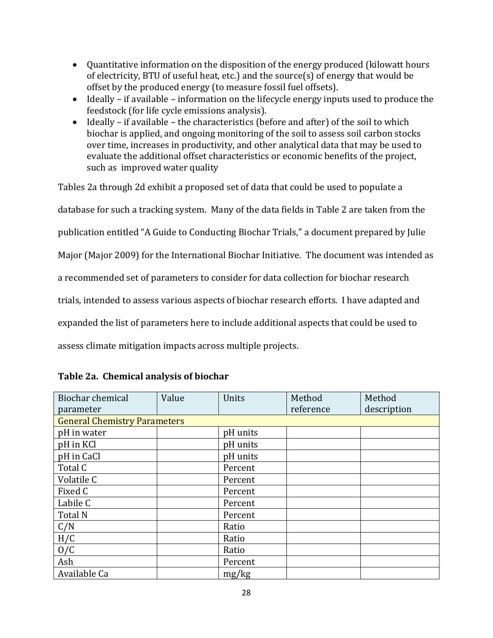- Quantitative information on the disposition of the energy produced (kilowatt hours of electricity, BTU of useful heat, etc.) and the source(s) of energy that would be offset by the produced energy (to measure fossil fuel offsets).
- $\bullet$  Ideally if available information on the lifecycle energy inputs used to produce the feedstock (for life cycle emissions analysis).
- Ideally if available the characteristics (before and after) of the soil to which biochar is applied, and ongoing monitoring of the soil to assess soil carbon stocks over time, increases in productivity, and other analytical data that may be used to evaluate the additional offset characteristics or economic benefits of the project, such as improved water quality

Tables 2a through 2d exhibit a proposed set of data that could be used to populate a

database for such a tracking system. Many of the data fields in Table 2 are taken from the

publication entitled "A Guide to Conducting Biochar Trials," a document prepared by Julie

Major (Major 2009) for the International Biochar Initiative. The document was intended as

a recommended set of parameters to consider for data collection for biochar research

trials, intended to assess various aspects of biochar research efforts. I have adapted and

expanded the list of parameters here to include additional aspects that could be used to

assess climate mitigation impacts across multiple projects.

| Biochar chemical                    | Value | Units    | Method    | Method      |
|-------------------------------------|-------|----------|-----------|-------------|
| parameter                           |       |          | reference | description |
| <b>General Chemistry Parameters</b> |       |          |           |             |
| pH in water                         |       | pH units |           |             |
| pH in KCl                           |       | pH units |           |             |
| pH in CaCl                          |       | pH units |           |             |
| Total C                             |       | Percent  |           |             |
| Volatile C                          |       | Percent  |           |             |
| Fixed C                             |       | Percent  |           |             |
| Labile C                            |       | Percent  |           |             |
| Total N                             |       | Percent  |           |             |
| C/N                                 |       | Ratio    |           |             |
| H/C                                 |       | Ratio    |           |             |
| 0/C                                 |       | Ratio    |           |             |
| Ash                                 |       | Percent  |           |             |
| Available Ca                        |       | mg/kg    |           |             |

|  | Table 2a. Chemical analysis of biochar |
|--|----------------------------------------|
|  |                                        |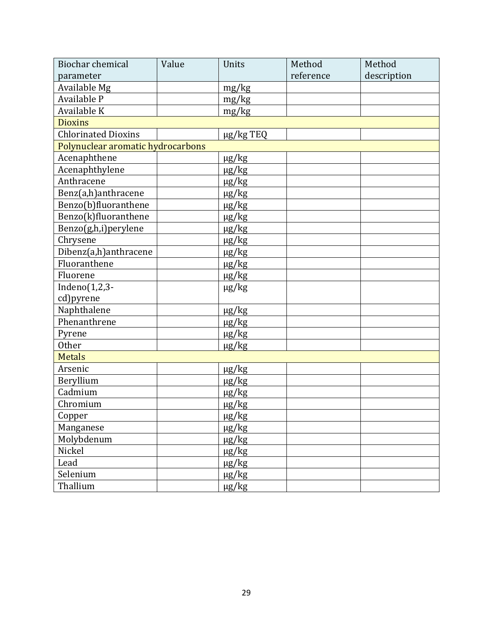| <b>Biochar chemical</b>           | Value | Units      | Method    | Method      |
|-----------------------------------|-------|------------|-----------|-------------|
| parameter                         |       |            | reference | description |
| Available Mg                      |       | mg/kg      |           |             |
| Available P                       |       | mg/kg      |           |             |
| Available K                       |       | mg/kg      |           |             |
| <b>Dioxins</b>                    |       |            |           |             |
| <b>Chlorinated Dioxins</b>        |       | µg/kg TEQ  |           |             |
| Polynuclear aromatic hydrocarbons |       |            |           |             |
| Acenaphthene                      |       | $\mu$ g/kg |           |             |
| Acenaphthylene                    |       | $\mu$ g/kg |           |             |
| Anthracene                        |       | $\mu$ g/kg |           |             |
| Benz(a,h)anthracene               |       | $\mu$ g/kg |           |             |
| Benzo(b)fluoranthene              |       | $\mu$ g/kg |           |             |
| Benzo(k)fluoranthene              |       | $\mu$ g/kg |           |             |
| Benzo(g,h,i)perylene              |       | $\mu$ g/kg |           |             |
| Chrysene                          |       | $\mu$ g/kg |           |             |
| Dibenz(a,h)anthracene             |       | $\mu$ g/kg |           |             |
| Fluoranthene                      |       | $\mu$ g/kg |           |             |
| Fluorene                          |       | $\mu$ g/kg |           |             |
| Indeno $(1,2,3-$                  |       | $\mu$ g/kg |           |             |
| cd)pyrene                         |       |            |           |             |
| Naphthalene                       |       | $\mu$ g/kg |           |             |
| Phenanthrene                      |       | $\mu$ g/kg |           |             |
| Pyrene                            |       | $\mu$ g/kg |           |             |
| Other                             |       | $\mu$ g/kg |           |             |
| <b>Metals</b>                     |       |            |           |             |
| Arsenic                           |       | $\mu$ g/kg |           |             |
| Beryllium                         |       | $\mu$ g/kg |           |             |
| Cadmium                           |       | $\mu$ g/kg |           |             |
| Chromium                          |       | $\mu$ g/kg |           |             |
| Copper                            |       | $\mu$ g/kg |           |             |
| Manganese                         |       | $\mu$ g/kg |           |             |
| Molybdenum                        |       | $\mu$ g/kg |           |             |
| Nickel                            |       | $\mu$ g/kg |           |             |
| Lead                              |       | $\mu$ g/kg |           |             |
| Selenium                          |       | $\mu$ g/kg |           |             |
| Thallium                          |       | $\mu$ g/kg |           |             |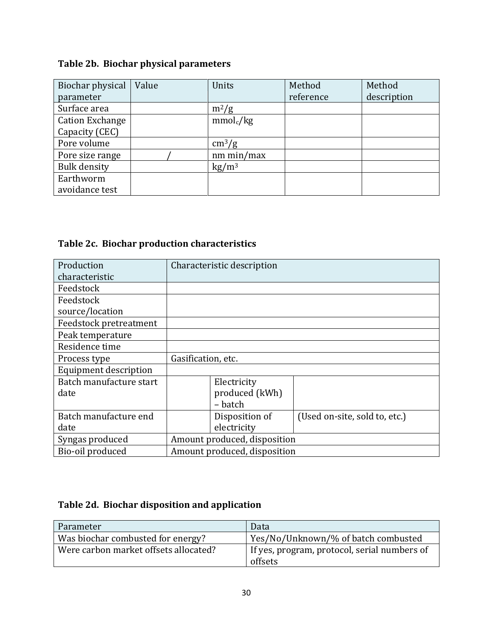## **Table 2b. Biochar physical parameters**

| Biochar physical       | Value | Units                  | Method    | Method      |
|------------------------|-------|------------------------|-----------|-------------|
| parameter              |       |                        | reference | description |
| Surface area           |       | $m^2/g$                |           |             |
| <b>Cation Exchange</b> |       | mmol <sub>c</sub> /kg  |           |             |
| Capacity (CEC)         |       |                        |           |             |
| Pore volume            |       | $\text{cm}^3/\text{g}$ |           |             |
| Pore size range        |       | nm min/max             |           |             |
| <b>Bulk density</b>    |       | $\text{kg}/\text{m}^3$ |           |             |
| Earthworm              |       |                        |           |             |
| avoidance test         |       |                        |           |             |

## **Table 2c. Biochar production characteristics**

| Production              | Characteristic description   |                               |  |
|-------------------------|------------------------------|-------------------------------|--|
| characteristic          |                              |                               |  |
| Feedstock               |                              |                               |  |
| Feedstock               |                              |                               |  |
| source/location         |                              |                               |  |
| Feedstock pretreatment  |                              |                               |  |
| Peak temperature        |                              |                               |  |
| Residence time          |                              |                               |  |
| Process type            | Gasification, etc.           |                               |  |
| Equipment description   |                              |                               |  |
| Batch manufacture start | Electricity                  |                               |  |
| date                    | produced (kWh)               |                               |  |
|                         | - batch                      |                               |  |
| Batch manufacture end   | Disposition of               | (Used on-site, sold to, etc.) |  |
| date                    | electricity                  |                               |  |
| Syngas produced         | Amount produced, disposition |                               |  |
| Bio-oil produced        | Amount produced, disposition |                               |  |

## **Table 2d. Biochar disposition and application**

| Parameter                             | Data                                         |
|---------------------------------------|----------------------------------------------|
| Was biochar combusted for energy?     | Yes/No/Unknown/% of batch combusted          |
| Were carbon market offsets allocated? | If yes, program, protocol, serial numbers of |
|                                       | offsets                                      |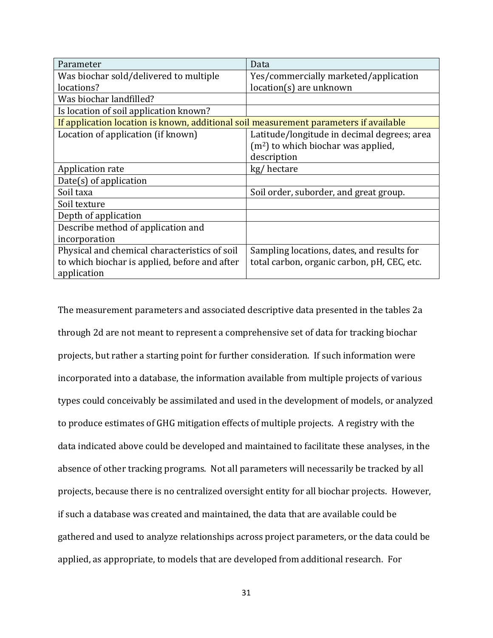| Parameter                                                                             | Data                                        |
|---------------------------------------------------------------------------------------|---------------------------------------------|
| Was biochar sold/delivered to multiple                                                | Yes/commercially marketed/application       |
| locations?                                                                            | location(s) are unknown                     |
| Was biochar landfilled?                                                               |                                             |
| Is location of soil application known?                                                |                                             |
| If application location is known, additional soil measurement parameters if available |                                             |
| Location of application (if known)                                                    | Latitude/longitude in decimal degrees; area |
|                                                                                       | $(m2)$ to which biochar was applied,        |
|                                                                                       | description                                 |
| Application rate                                                                      | kg/hectare                                  |
| $Date(s)$ of application                                                              |                                             |
| Soil taxa                                                                             | Soil order, suborder, and great group.      |
| Soil texture                                                                          |                                             |
| Depth of application                                                                  |                                             |
| Describe method of application and                                                    |                                             |
| incorporation                                                                         |                                             |
| Physical and chemical characteristics of soil                                         | Sampling locations, dates, and results for  |
| to which biochar is applied, before and after                                         | total carbon, organic carbon, pH, CEC, etc. |
| application                                                                           |                                             |

The measurement parameters and associated descriptive data presented in the tables 2a through 2d are not meant to represent a comprehensive set of data for tracking biochar projects, but rather a starting point for further consideration. If such information were incorporated into a database, the information available from multiple projects of various types could conceivably be assimilated and used in the development of models, or analyzed to produce estimates of GHG mitigation effects of multiple projects. A registry with the data indicated above could be developed and maintained to facilitate these analyses, in the absence of other tracking programs. Not all parameters will necessarily be tracked by all projects, because there is no centralized oversight entity for all biochar projects. However, if such a database was created and maintained, the data that are available could be gathered and used to analyze relationships across project parameters, or the data could be applied, as appropriate, to models that are developed from additional research. For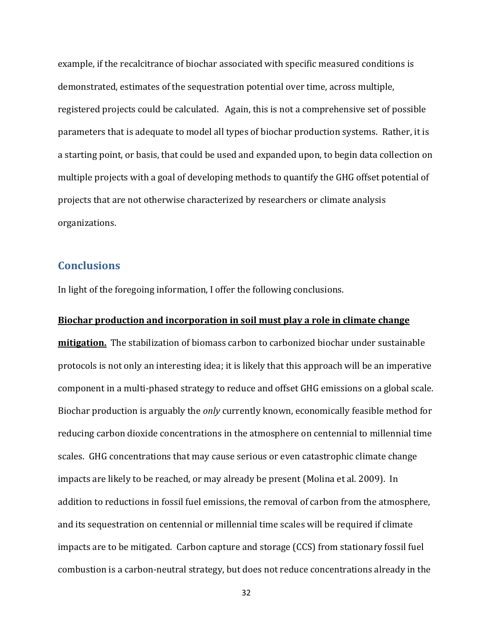example, if the recalcitrance of biochar associated with specific measured conditions is demonstrated, estimates of the sequestration potential over time, across multiple, registered projects could be calculated. Again, this is not a comprehensive set of possible parameters that is adequate to model all types of biochar production systems. Rather, it is a starting point, or basis, that could be used and expanded upon, to begin data collection on multiple projects with a goal of developing methods to quantify the GHG offset potential of projects that are not otherwise characterized by researchers or climate analysis organizations.

## <span id="page-31-0"></span>**Conclusions**

In light of the foregoing information, I offer the following conclusions.

#### **Biochar production and incorporation in soil must play a role in climate change**

**mitigation.** The stabilization of biomass carbon to carbonized biochar under sustainable protocols is not only an interesting idea; it is likely that this approach will be an imperative component in a multi-phased strategy to reduce and offset GHG emissions on a global scale. Biochar production is arguably the *only* currently known, economically feasible method for reducing carbon dioxide concentrations in the atmosphere on centennial to millennial time scales. GHG concentrations that may cause serious or even catastrophic climate change impacts are likely to be reached, or may already be present (Molina et al. 2009). In addition to reductions in fossil fuel emissions, the removal of carbon from the atmosphere, and its sequestration on centennial or millennial time scales will be required if climate impacts are to be mitigated. Carbon capture and storage (CCS) from stationary fossil fuel combustion is a carbon-neutral strategy, but does not reduce concentrations already in the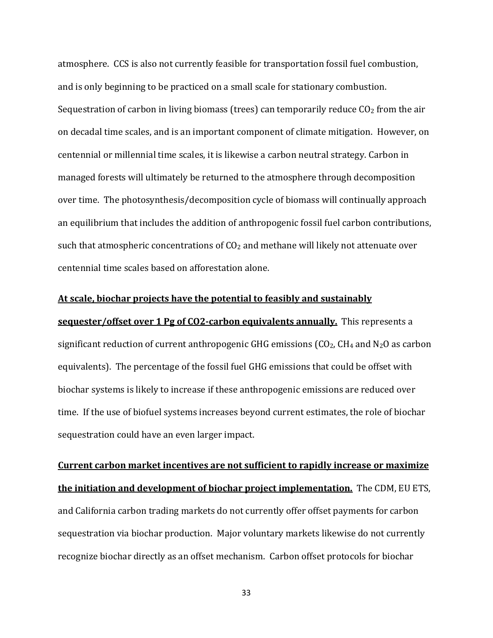atmosphere. CCS is also not currently feasible for transportation fossil fuel combustion, and is only beginning to be practiced on a small scale for stationary combustion. Sequestration of carbon in living biomass (trees) can temporarily reduce  $CO<sub>2</sub>$  from the air on decadal time scales, and is an important component of climate mitigation. However, on centennial or millennial time scales, it is likewise a carbon neutral strategy. Carbon in managed forests will ultimately be returned to the atmosphere through decomposition over time. The photosynthesis/decomposition cycle of biomass will continually approach an equilibrium that includes the addition of anthropogenic fossil fuel carbon contributions, such that atmospheric concentrations of CO<sub>2</sub> and methane will likely not attenuate over centennial time scales based on afforestation alone.

#### **At scale, biochar projects have the potential to feasibly and sustainably**

**sequester/offset over 1 Pg of CO2-carbon equivalents annually.** This represents a significant reduction of current anthropogenic GHG emissions ( $CO<sub>2</sub>$ , CH<sub>4</sub> and N<sub>2</sub>O as carbon equivalents). The percentage of the fossil fuel GHG emissions that could be offset with biochar systems is likely to increase if these anthropogenic emissions are reduced over time. If the use of biofuel systems increases beyond current estimates, the role of biochar sequestration could have an even larger impact.

**Current carbon market incentives are not sufficient to rapidly increase or maximize the initiation and development of biochar project implementation.** The CDM, EU ETS, and California carbon trading markets do not currently offer offset payments for carbon sequestration via biochar production. Major voluntary markets likewise do not currently recognize biochar directly as an offset mechanism. Carbon offset protocols for biochar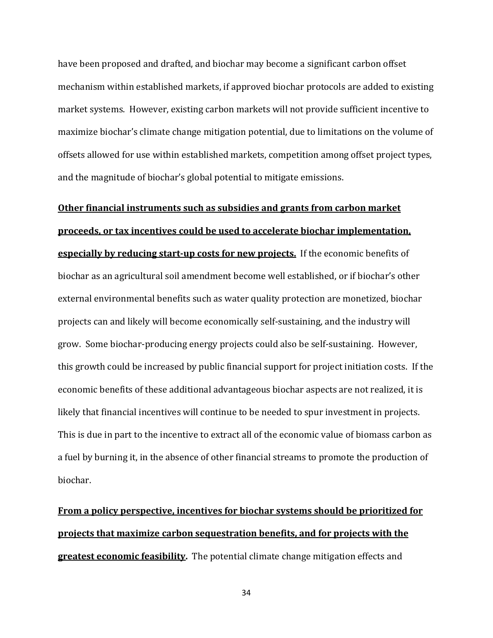have been proposed and drafted, and biochar may become a significant carbon offset mechanism within established markets, if approved biochar protocols are added to existing market systems. However, existing carbon markets will not provide sufficient incentive to maximize biochar's climate change mitigation potential, due to limitations on the volume of offsets allowed for use within established markets, competition among offset project types, and the magnitude of biochar's global potential to mitigate emissions.

# **Other financial instruments such as subsidies and grants from carbon market proceeds, or tax incentives could be used to accelerate biochar implementation, especially by reducing start-up costs for new projects.** If the economic benefits of biochar as an agricultural soil amendment become well established, or if biochar's other external environmental benefits such as water quality protection are monetized, biochar projects can and likely will become economically self-sustaining, and the industry will grow. Some biochar-producing energy projects could also be self-sustaining. However, this growth could be increased by public financial support for project initiation costs. If the economic benefits of these additional advantageous biochar aspects are not realized, it is likely that financial incentives will continue to be needed to spur investment in projects. This is due in part to the incentive to extract all of the economic value of biomass carbon as a fuel by burning it, in the absence of other financial streams to promote the production of biochar.

## **From a policy perspective, incentives for biochar systems should be prioritized for projects that maximize carbon sequestration benefits, and for projects with the greatest economic feasibility.** The potential climate change mitigation effects and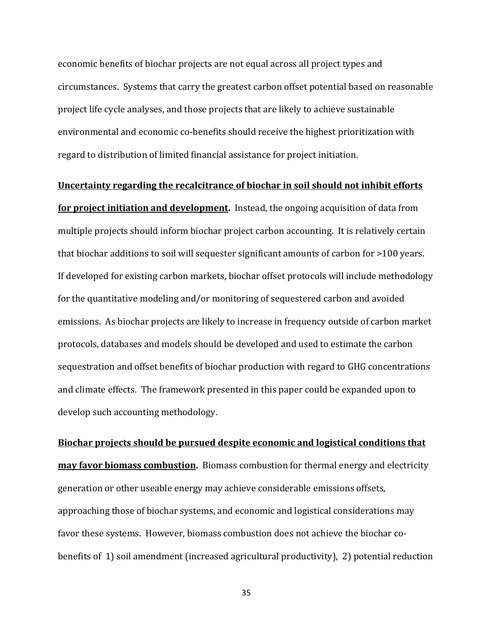economic benefits of biochar projects are not equal across all project types and circumstances. Systems that carry the greatest carbon offset potential based on reasonable project life cycle analyses, and those projects that are likely to achieve sustainable environmental and economic co-benefits should receive the highest prioritization with regard to distribution of limited financial assistance for project initiation.

#### **Uncertainty regarding the recalcitrance of biochar in soil should not inhibit efforts**

**for project initiation and development.** Instead, the ongoing acquisition of data from multiple projects should inform biochar project carbon accounting. It is relatively certain that biochar additions to soil will sequester significant amounts of carbon for >100 years. If developed for existing carbon markets, biochar offset protocols will include methodology for the quantitative modeling and/or monitoring of sequestered carbon and avoided emissions. As biochar projects are likely to increase in frequency outside of carbon market protocols, databases and models should be developed and used to estimate the carbon sequestration and offset benefits of biochar production with regard to GHG concentrations and climate effects. The framework presented in this paper could be expanded upon to develop such accounting methodology.

**Biochar projects should be pursued despite economic and logistical conditions that may favor biomass combustion.** Biomass combustion for thermal energy and electricity generation or other useable energy may achieve considerable emissions offsets, approaching those of biochar systems, and economic and logistical considerations may favor these systems. However, biomass combustion does not achieve the biochar cobenefits of 1) soil amendment (increased agricultural productivity), 2) potential reduction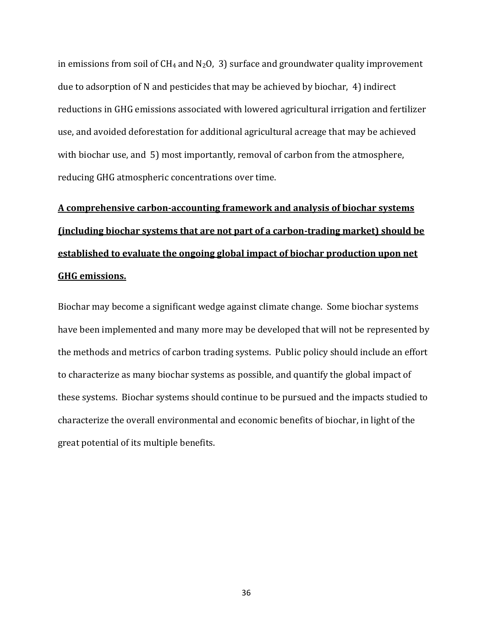in emissions from soil of  $CH_4$  and  $N_2O$ , 3) surface and groundwater quality improvement due to adsorption of N and pesticides that may be achieved by biochar, 4) indirect reductions in GHG emissions associated with lowered agricultural irrigation and fertilizer use, and avoided deforestation for additional agricultural acreage that may be achieved with biochar use, and 5) most importantly, removal of carbon from the atmosphere, reducing GHG atmospheric concentrations over time.

## **A comprehensive carbon-accounting framework and analysis of biochar systems (including biochar systems that are not part of a carbon-trading market) should be established to evaluate the ongoing global impact of biochar production upon net GHG emissions.**

Biochar may become a significant wedge against climate change. Some biochar systems have been implemented and many more may be developed that will not be represented by the methods and metrics of carbon trading systems. Public policy should include an effort to characterize as many biochar systems as possible, and quantify the global impact of these systems. Biochar systems should continue to be pursued and the impacts studied to characterize the overall environmental and economic benefits of biochar, in light of the great potential of its multiple benefits.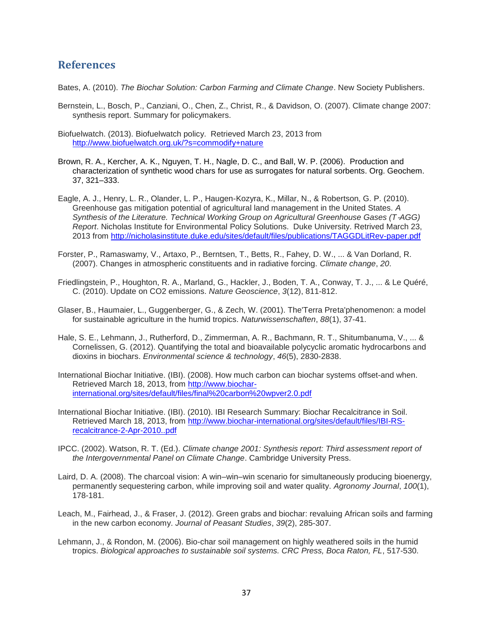## <span id="page-36-0"></span>**References**

Bates, A. (2010). *The Biochar Solution: Carbon Farming and Climate Change*. New Society Publishers.

- Bernstein, L., Bosch, P., Canziani, O., Chen, Z., Christ, R., & Davidson, O. (2007). Climate change 2007: synthesis report. Summary for policymakers.
- Biofuelwatch. (2013). Biofuelwatch policy. Retrieved March 23, 2013 from <http://www.biofuelwatch.org.uk/?s=commodify+nature>
- Brown, R. A., Kercher, A. K., Nguyen, T. H., Nagle, D. C., and Ball, W. P. (2006). Production and characterization of synthetic wood chars for use as surrogates for natural sorbents. Org. Geochem. 37, 321–333.
- Eagle, A. J., Henry, L. R., Olander, L. P., Haugen-Kozyra, K., Millar, N., & Robertson, G. P. (2010). Greenhouse gas mitigation potential of agricultural land management in the United States. *A Synthesis of the Literature. Technical Working Group on Agricultural Greenhouse Gases (T*‐*AGG) Report*. Nicholas Institute for Environmental Policy Solutions. Duke University. Retrived March 23, 2013 from<http://nicholasinstitute.duke.edu/sites/default/files/publications/TAGGDLitRev-paper.pdf>
- Forster, P., Ramaswamy, V., Artaxo, P., Berntsen, T., Betts, R., Fahey, D. W., ... & Van Dorland, R. (2007). Changes in atmospheric constituents and in radiative forcing. *Climate change*, *20*.
- Friedlingstein, P., Houghton, R. A., Marland, G., Hackler, J., Boden, T. A., Conway, T. J., ... & Le Quéré, C. (2010). Update on CO2 emissions. *Nature Geoscience*, *3*(12), 811-812.
- Glaser, B., Haumaier, L., Guggenberger, G., & Zech, W. (2001). The'Terra Preta'phenomenon: a model for sustainable agriculture in the humid tropics. *Naturwissenschaften*, *88*(1), 37-41.
- Hale, S. E., Lehmann, J., Rutherford, D., Zimmerman, A. R., Bachmann, R. T., Shitumbanuma, V., ... & Cornelissen, G. (2012). Quantifying the total and bioavailable polycyclic aromatic hydrocarbons and dioxins in biochars. *Environmental science & technology*, *46*(5), 2830-2838.
- International Biochar Initiative. (IBI). (2008). How much carbon can biochar systems offset-and when. Retrieved March 18, 2013, from [http://www.biochar](http://www.biochar-international.org/sites/default/files/final%20carbon%20wpver2.0.pdf)[international.org/sites/default/files/final%20carbon%20wpver2.0.pdf](http://www.biochar-international.org/sites/default/files/final%20carbon%20wpver2.0.pdf)
- International Biochar Initiative. (IBI). (2010). IBI Research Summary: Biochar Recalcitrance in Soil. Retrieved March 18, 2013, from [http://www.biochar-international.org/sites/default/files/IBI-RS](http://www.biochar-international.org/sites/default/files/IBI-RS-recalcitrance-2-Apr-2010..pdf)[recalcitrance-2-Apr-2010..pdf](http://www.biochar-international.org/sites/default/files/IBI-RS-recalcitrance-2-Apr-2010..pdf)
- IPCC. (2002). Watson, R. T. (Ed.). *Climate change 2001: Synthesis report: Third assessment report of the Intergovernmental Panel on Climate Change*. Cambridge University Press.
- Laird, D. A. (2008). The charcoal vision: A win–win–win scenario for simultaneously producing bioenergy, permanently sequestering carbon, while improving soil and water quality. *Agronomy Journal*, *100*(1), 178-181.
- Leach, M., Fairhead, J., & Fraser, J. (2012). Green grabs and biochar: revaluing African soils and farming in the new carbon economy. *Journal of Peasant Studies*, *39*(2), 285-307.
- Lehmann, J., & Rondon, M. (2006). Bio-char soil management on highly weathered soils in the humid tropics. *Biological approaches to sustainable soil systems. CRC Press, Boca Raton, FL*, 517-530.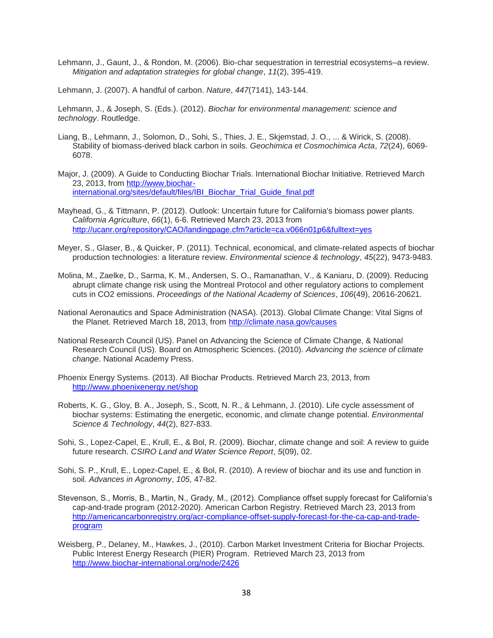Lehmann, J., Gaunt, J., & Rondon, M. (2006). Bio-char sequestration in terrestrial ecosystems–a review. *Mitigation and adaptation strategies for global change*, *11*(2), 395-419.

Lehmann, J. (2007). A handful of carbon. *Nature*, *447*(7141), 143-144.

Lehmann, J., & Joseph, S. (Eds.). (2012). *Biochar for environmental management: science and technology*. Routledge.

- Liang, B., Lehmann, J., Solomon, D., Sohi, S., Thies, J. E., Skjemstad, J. O., ... & Wirick, S. (2008). Stability of biomass-derived black carbon in soils. *Geochimica et Cosmochimica Acta*, *72*(24), 6069- 6078.
- Major, J. (2009). A Guide to Conducting Biochar Trials. International Biochar Initiative. Retrieved March 23, 2013, from [http://www.biochar](http://www.biochar-international.org/sites/default/files/IBI_Biochar_Trial_Guide_final.pdf)[international.org/sites/default/files/IBI\\_Biochar\\_Trial\\_Guide\\_final.pdf](http://www.biochar-international.org/sites/default/files/IBI_Biochar_Trial_Guide_final.pdf)
- Mayhead, G., & Tittmann, P. (2012). Outlook: Uncertain future for California's biomass power plants. *California Agriculture*, *66*(1), 6-6. Retrieved March 23, 2013 from <http://ucanr.org/repository/CAO/landingpage.cfm?article=ca.v066n01p6&fulltext=yes>
- Meyer, S., Glaser, B., & Quicker, P. (2011). Technical, economical, and climate-related aspects of biochar production technologies: a literature review. *Environmental science & technology*, *45*(22), 9473-9483.
- Molina, M., Zaelke, D., Sarma, K. M., Andersen, S. O., Ramanathan, V., & Kaniaru, D. (2009). Reducing abrupt climate change risk using the Montreal Protocol and other regulatory actions to complement cuts in CO2 emissions. *Proceedings of the National Academy of Sciences*, *106*(49), 20616-20621.
- National Aeronautics and Space Administration (NASA). (2013). Global Climate Change: Vital Signs of the Planet. Retrieved March 18, 2013, from<http://climate.nasa.gov/causes>
- National Research Council (US). Panel on Advancing the Science of Climate Change, & National Research Council (US). Board on Atmospheric Sciences. (2010). *Advancing the science of climate change*. National Academy Press.
- Phoenix Energy Systems. (2013). All Biochar Products. Retrieved March 23, 2013, from <http://www.phoenixenergy.net/shop>
- Roberts, K. G., Gloy, B. A., Joseph, S., Scott, N. R., & Lehmann, J. (2010). Life cycle assessment of biochar systems: Estimating the energetic, economic, and climate change potential. *Environmental Science & Technology*, *44*(2), 827-833.
- Sohi, S., Lopez-Capel, E., Krull, E., & Bol, R. (2009). Biochar, climate change and soil: A review to guide future research. *CSIRO Land and Water Science Report*, *5*(09), 02.
- Sohi, S. P., Krull, E., Lopez-Capel, E., & Bol, R. (2010). A review of biochar and its use and function in soil. *Advances in Agronomy*, *105*, 47-82.
- Stevenson, S., Morris, B., Martin, N., Grady, M., (2012). Compliance offset supply forecast for California's cap-and-trade program (2012-2020). American Carbon Registry. Retrieved March 23, 2013 from [http://americancarbonregistry.org/acr-compliance-offset-supply-forecast-for-the-ca-cap-and-trade](http://americancarbonregistry.org/acr-compliance-offset-supply-forecast-for-the-ca-cap-and-trade-program)[program](http://americancarbonregistry.org/acr-compliance-offset-supply-forecast-for-the-ca-cap-and-trade-program)
- Weisberg, P., Delaney, M., Hawkes, J., (2010). Carbon Market Investment Criteria for Biochar Projects. Public Interest Energy Research (PIER) Program. Retrieved March 23, 2013 from <http://www.biochar-international.org/node/2426>